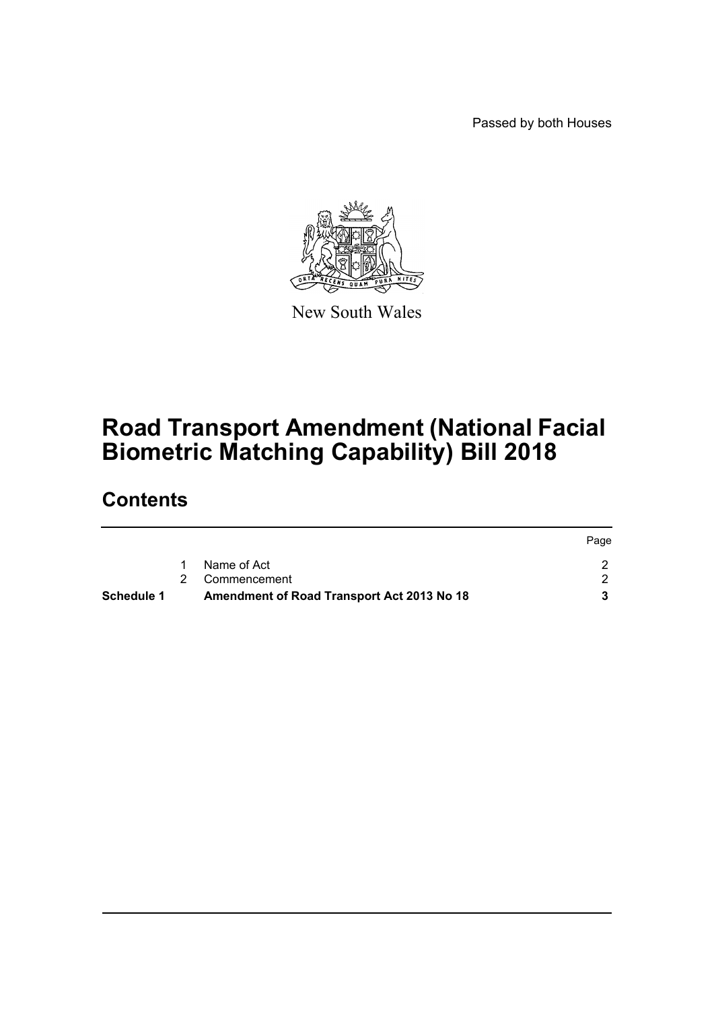Passed by both Houses



New South Wales

# **Road Transport Amendment (National Facial Biometric Matching Capability) Bill 2018**

### **Contents**

| <b>Schedule 1</b> | Amendment of Road Transport Act 2013 No 18 |      |
|-------------------|--------------------------------------------|------|
|                   | 2 Commencement                             |      |
|                   | Name of Act                                |      |
|                   |                                            | Page |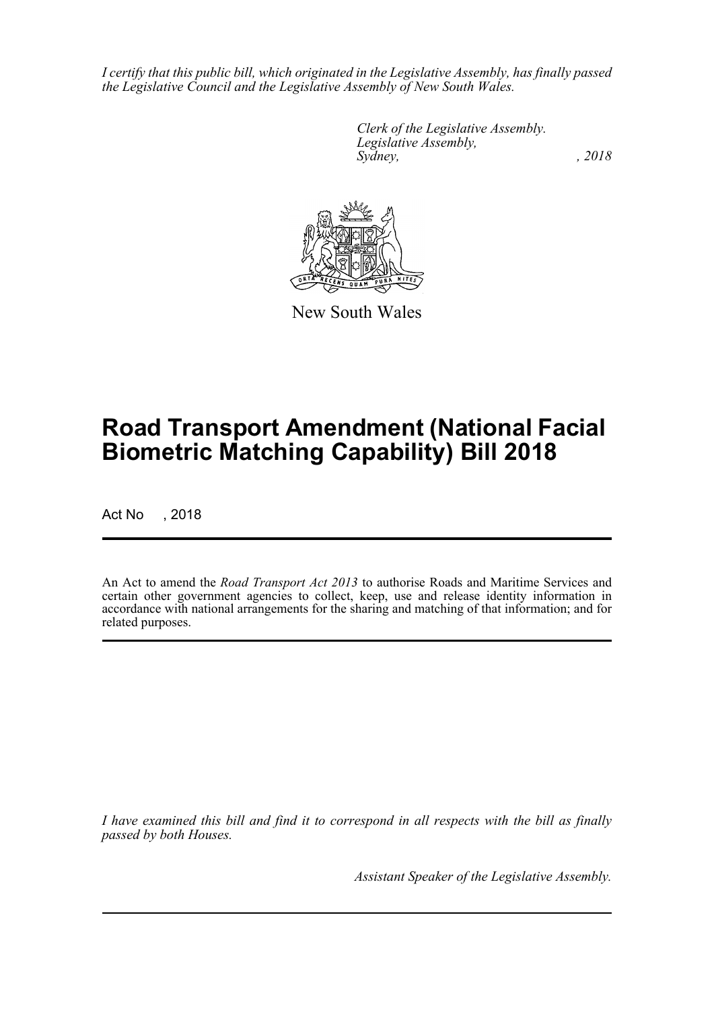*I certify that this public bill, which originated in the Legislative Assembly, has finally passed the Legislative Council and the Legislative Assembly of New South Wales.*

> *Clerk of the Legislative Assembly. Legislative Assembly, Sydney, , 2018*



New South Wales

## **Road Transport Amendment (National Facial Biometric Matching Capability) Bill 2018**

Act No , 2018

An Act to amend the *Road Transport Act 2013* to authorise Roads and Maritime Services and certain other government agencies to collect, keep, use and release identity information in accordance with national arrangements for the sharing and matching of that information; and for related purposes.

*I have examined this bill and find it to correspond in all respects with the bill as finally passed by both Houses.*

*Assistant Speaker of the Legislative Assembly.*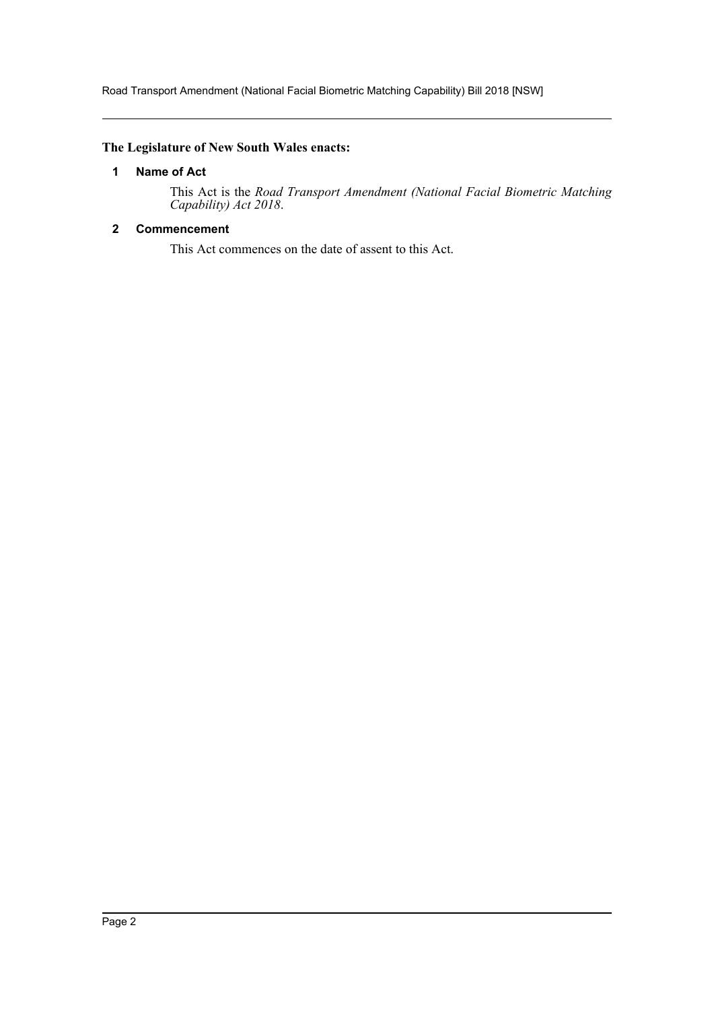Road Transport Amendment (National Facial Biometric Matching Capability) Bill 2018 [NSW]

#### <span id="page-2-0"></span>**The Legislature of New South Wales enacts:**

#### **1 Name of Act**

This Act is the *Road Transport Amendment (National Facial Biometric Matching Capability) Act 2018*.

#### <span id="page-2-1"></span>**2 Commencement**

This Act commences on the date of assent to this Act.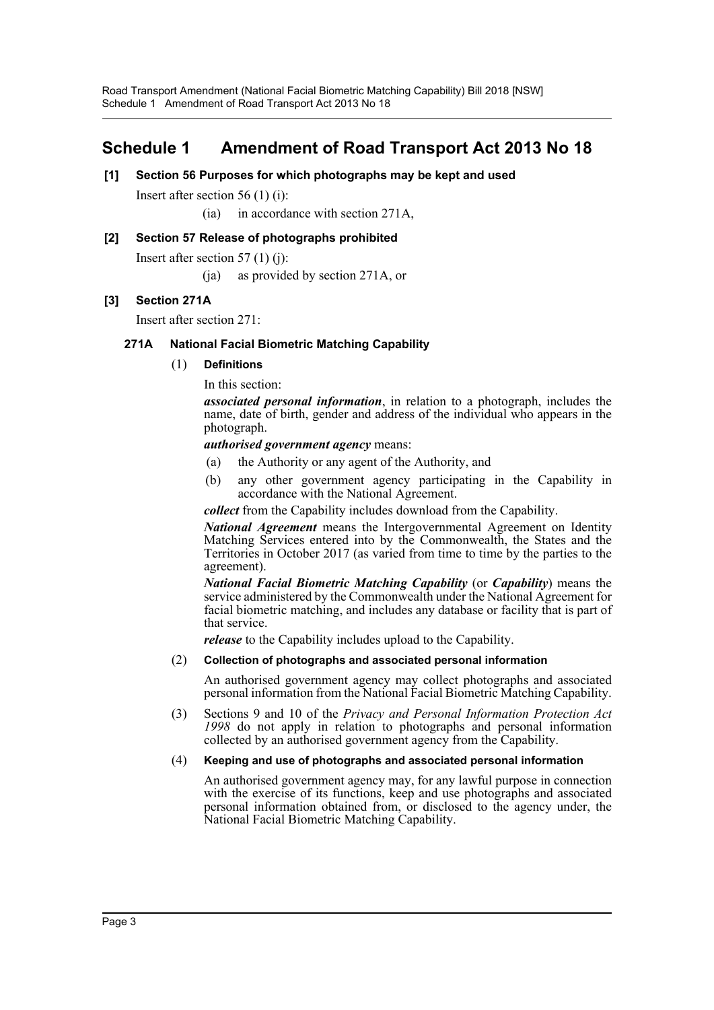### <span id="page-3-0"></span>**Schedule 1 Amendment of Road Transport Act 2013 No 18**

#### **[1] Section 56 Purposes for which photographs may be kept and used**

Insert after section 56 (1) (i):

(ia) in accordance with section 271A,

#### **[2] Section 57 Release of photographs prohibited**

Insert after section  $57(1)(i)$ :

(ja) as provided by section 271A, or

#### **[3] Section 271A**

Insert after section 271:

#### **271A National Facial Biometric Matching Capability**

(1) **Definitions**

In this section:

*associated personal information*, in relation to a photograph, includes the name, date of birth, gender and address of the individual who appears in the photograph.

*authorised government agency* means:

- (a) the Authority or any agent of the Authority, and
- (b) any other government agency participating in the Capability in accordance with the National Agreement.

*collect* from the Capability includes download from the Capability.

*National Agreement* means the Intergovernmental Agreement on Identity Matching Services entered into by the Commonwealth, the States and the Territories in October 2017 (as varied from time to time by the parties to the agreement).

*National Facial Biometric Matching Capability* (or *Capability*) means the service administered by the Commonwealth under the National Agreement for facial biometric matching, and includes any database or facility that is part of that service.

*release* to the Capability includes upload to the Capability.

#### (2) **Collection of photographs and associated personal information**

An authorised government agency may collect photographs and associated personal information from the National Facial Biometric Matching Capability.

(3) Sections 9 and 10 of the *Privacy and Personal Information Protection Act 1998* do not apply in relation to photographs and personal information collected by an authorised government agency from the Capability.

#### (4) **Keeping and use of photographs and associated personal information**

An authorised government agency may, for any lawful purpose in connection with the exercise of its functions, keep and use photographs and associated personal information obtained from, or disclosed to the agency under, the National Facial Biometric Matching Capability.